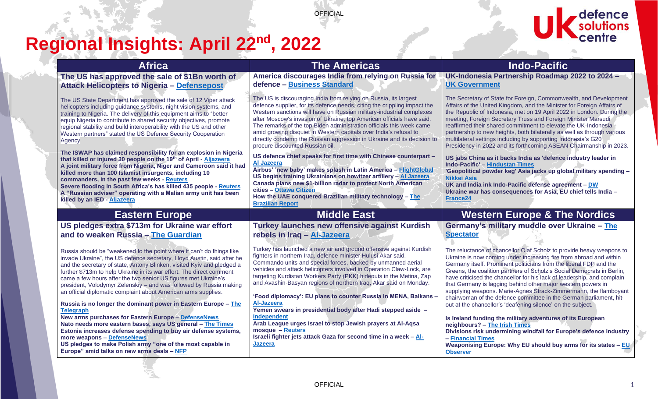**OFFICIAL** 

# **Regional Insights: April 22nd, 2022**

ا په<br>اکت



| <b>Africa</b>                                                                                                                                                                                                                                                                                                                                                                                                                                                                                                                                                                                     | <b>The Americas</b>                                                                                                                                                                                                                                                                                                                                                                                                                                                                                                                                                      | <b>Indo-Pacific</b>                                                                                                                                                                                                                                                                                                                                                                                                                                                                                                                                                                                                                           |
|---------------------------------------------------------------------------------------------------------------------------------------------------------------------------------------------------------------------------------------------------------------------------------------------------------------------------------------------------------------------------------------------------------------------------------------------------------------------------------------------------------------------------------------------------------------------------------------------------|--------------------------------------------------------------------------------------------------------------------------------------------------------------------------------------------------------------------------------------------------------------------------------------------------------------------------------------------------------------------------------------------------------------------------------------------------------------------------------------------------------------------------------------------------------------------------|-----------------------------------------------------------------------------------------------------------------------------------------------------------------------------------------------------------------------------------------------------------------------------------------------------------------------------------------------------------------------------------------------------------------------------------------------------------------------------------------------------------------------------------------------------------------------------------------------------------------------------------------------|
| The US has approved the sale of \$1Bn worth of<br>Attack Helicopters to Nigeria - Defensepost                                                                                                                                                                                                                                                                                                                                                                                                                                                                                                     | America discourages India from relying on Russia for<br>defence - Business Standard                                                                                                                                                                                                                                                                                                                                                                                                                                                                                      | UK-Indonesia Partnership Roadmap 2022 to 2024 -<br><b>UK Government</b>                                                                                                                                                                                                                                                                                                                                                                                                                                                                                                                                                                       |
| The US State Department has approved the sale of 12 Viper attack<br>helicopters including guidance systems, night vision systems, and<br>training to Nigeria. The delivery of this equipment aims to "better<br>equip Nigeria to contribute to shared security objectives, promote<br>regional stability and build interoperability with the US and other<br>Western partners" stated the US Defence Security Cooperation<br>Agency                                                                                                                                                               | The US is discouraging India from relying on Russia, its largest<br>defence supplier, for its defence needs, citing the crippling impact the<br>Western sanctions will have on Russian military-industrial complexes<br>after Moscow's invasion of Ukraine, top American officials have said.<br>The remarks of the top Biden administration officials this week came<br>amid growing disquiet in Western capitals over India's refusal to<br>directly condemn the Russian aggression in Ukraine and its decision to<br>procure discounted Russian oil.                  | The Secretary of State for Foreign, Commonwealth, and Development<br>Affairs of the United Kingdom, and the Minister for Foreign Affairs of<br>the Republic of Indonesia, met on 19 April 2022 in London. During the<br>meeting, Foreign Secretary Truss and Foreign Minister Marsudi<br>reaffirmed their shared commitment to elevate the UK-Indonesia<br>partnership to new heights, both bilaterally as well as through various<br>multilateral settings including by supporting Indonesia's G20<br>Presidency in 2022 and its forthcoming ASEAN Chairmanship in 2023.                                                                     |
| The ISWAP has claimed responsibility for an explosion in Nigeria<br>that killed or injured 30 people on the 19th of April - Aljazeera<br>A joint military force from Nigeria, Niger and Cameroon said it had<br>killed more than 100 Islamist insurgents, including 10<br>commanders, in the past few weeks - Reuters<br>Severe flooding in South Africa's has killed 435 people - Reuters<br>A "Russian adviser" operating with a Malian army unit has been<br>killed by an IED - Aljazeera                                                                                                      | US defence chief speaks for first time with Chinese counterpart -<br>Al Jazeera<br>Airbus' 'new baby' makes splash in Latin America - FlightGlobal<br>US begins training Ukrainians on howitzer artillery - Al Jazeera<br>Canada plans new \$1-billion radar to protect North American<br>cities - Ottawa Citizen<br>How the UAE conquered Brazilian military technology - The<br><b>Brazilian Report</b>                                                                                                                                                                | US jabs China as it backs India as 'defence industry leader in<br><b>Indo-Pacific' - Hindustan Times</b><br>'Geopolitical powder keg' Asia jacks up global military spending -<br>Nikkei Asia<br>UK and India ink Indo-Pacific defense agreement - DW<br>Ukraine war has consequences for Asia, EU chief tells India -<br><b>France24</b>                                                                                                                                                                                                                                                                                                     |
| <b>Eastern Europe</b>                                                                                                                                                                                                                                                                                                                                                                                                                                                                                                                                                                             | <b>Middle East</b>                                                                                                                                                                                                                                                                                                                                                                                                                                                                                                                                                       | <b>Western Europe &amp; The Nordics</b>                                                                                                                                                                                                                                                                                                                                                                                                                                                                                                                                                                                                       |
| US pledges extra \$713m for Ukraine war effort                                                                                                                                                                                                                                                                                                                                                                                                                                                                                                                                                    | <b>Turkey launches new offensive against Kurdish</b>                                                                                                                                                                                                                                                                                                                                                                                                                                                                                                                     | Germany's military muddle over Ukraine - The                                                                                                                                                                                                                                                                                                                                                                                                                                                                                                                                                                                                  |
| and to weaken Russia - The Guardian                                                                                                                                                                                                                                                                                                                                                                                                                                                                                                                                                               | rebels in Iraq - Al-Jazeera                                                                                                                                                                                                                                                                                                                                                                                                                                                                                                                                              | <b>Spectator</b>                                                                                                                                                                                                                                                                                                                                                                                                                                                                                                                                                                                                                              |
| Russia should be "weakened to the point where it can't do things like<br>invade Ukraine", the US defence secretary, Lloyd Austin, said after he<br>and the secretary of state, Antony Blinken, visited Kyiv and pledged a<br>further \$713m to help Ukraine in its war effort. The direct comment<br>came a few hours after the two senior US figures met Ukraine's<br>president, Volodymyr Zelenskiy - and was followed by Russia making<br>an official diplomatic complaint about American arms supplies.<br>Russia is no longer the dominant power in Eastern Europe - The<br><b>Telegraph</b> | Turkey has launched a new air and ground offensive against Kurdish<br>fighters in northern Iraq, defence minister Hulusi Akar said.<br>Commando units and special forces, backed by unmanned aerial<br>vehicles and attack helicopters involved in Operation Claw-Lock, are<br>targeting Kurdistan Workers Party (PKK) hideouts in the Metina, Zap<br>and Avashin-Basyan regions of northern Iraq, Akar said on Monday.<br>'Food diplomacy': EU plans to counter Russia in MENA, Balkans -<br>Al-Jazeera<br>Yemen swears in presidential body after Hadi stepped aside - | The reluctance of chancellor Olaf Scholz to provide heavy weapons to<br>Ukraine is now coming under increasing fire from abroad and within<br>Germany itself. Prominent politicians from the liberal FDP and the<br>Greens, the coalition partners of Scholz's Social Democrats in Berlin,<br>have criticised the chancellor for his lack of leadership, and complain<br>that Germany is lagging behind other major western powers in<br>supplying weapons. Marie-Agnes Strack-Zimmermann, the flamboyant<br>chairwoman of the defence committee in the German parliament, hit<br>out at the chancellor's 'deafening silence' on the subject. |
| New arms purchases for Eastern Europe - DefenseNews                                                                                                                                                                                                                                                                                                                                                                                                                                                                                                                                               | <b>Independent</b>                                                                                                                                                                                                                                                                                                                                                                                                                                                                                                                                                       | Is Ireland funding the military adventures of its European                                                                                                                                                                                                                                                                                                                                                                                                                                                                                                                                                                                    |